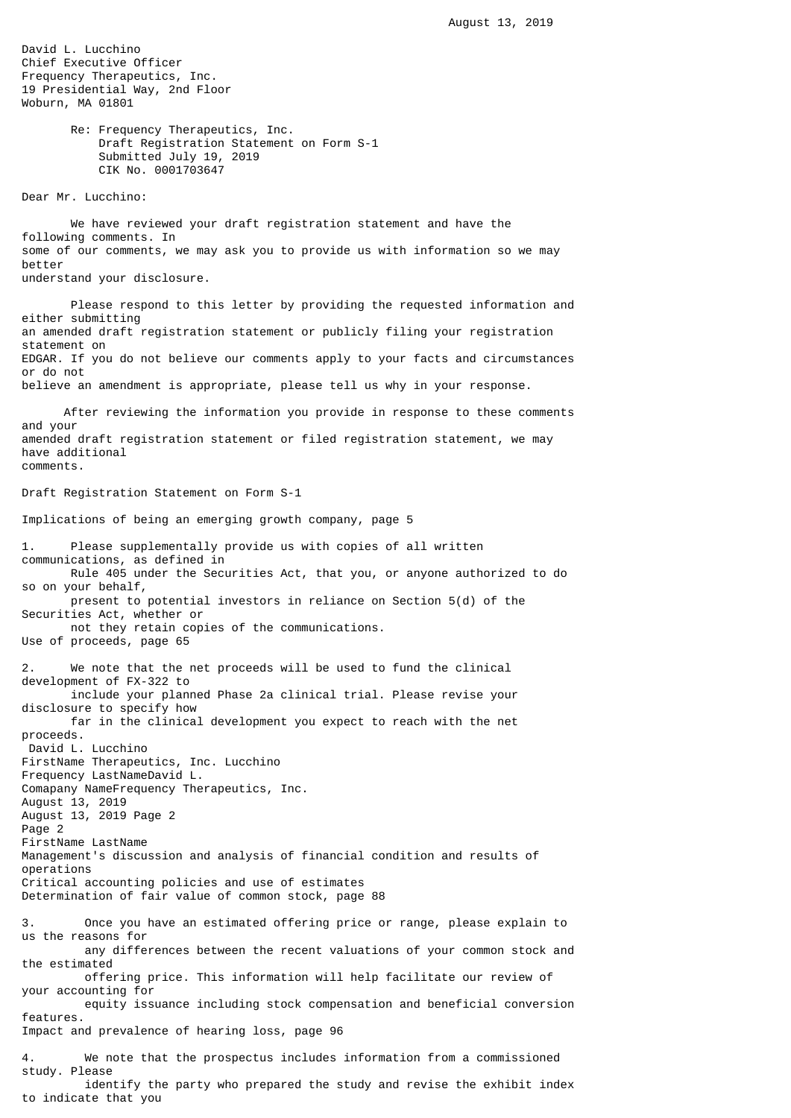David L. Lucchino Chief Executive Officer Frequency Therapeutics, Inc. 19 Presidential Way, 2nd Floor Woburn, MA 01801 Re: Frequency Therapeutics, Inc. Draft Registration Statement on Form S-1 Submitted July 19, 2019 CIK No. 0001703647 Dear Mr. Lucchino: We have reviewed your draft registration statement and have the following comments. In some of our comments, we may ask you to provide us with information so we may better understand your disclosure. Please respond to this letter by providing the requested information and either submitting an amended draft registration statement or publicly filing your registration statement on EDGAR. If you do not believe our comments apply to your facts and circumstances or do not believe an amendment is appropriate, please tell us why in your response. After reviewing the information you provide in response to these comments and your amended draft registration statement or filed registration statement, we may have additional comments. Draft Registration Statement on Form S-1 Implications of being an emerging growth company, page 5 1. Please supplementally provide us with copies of all written communications, as defined in Rule 405 under the Securities Act, that you, or anyone authorized to do so on your behalf, present to potential investors in reliance on Section 5(d) of the Securities Act, whether or not they retain copies of the communications. Use of proceeds, page 65 2. We note that the net proceeds will be used to fund the clinical development of FX-322 to include your planned Phase 2a clinical trial. Please revise your disclosure to specify how far in the clinical development you expect to reach with the net proceeds. David L. Lucchino FirstName Therapeutics, Inc. Lucchino Frequency LastNameDavid L. Comapany NameFrequency Therapeutics, Inc. August 13, 2019 August 13, 2019 Page 2 Page 2 FirstName LastName Management's discussion and analysis of financial condition and results of operations Critical accounting policies and use of estimates Determination of fair value of common stock, page 88 3. Once you have an estimated offering price or range, please explain to us the reasons for any differences between the recent valuations of your common stock and the estimated offering price. This information will help facilitate our review of your accounting for equity issuance including stock compensation and beneficial conversion features. Impact and prevalence of hearing loss, page 96 4. We note that the prospectus includes information from a commissioned study. Please identify the party who prepared the study and revise the exhibit index

to indicate that you